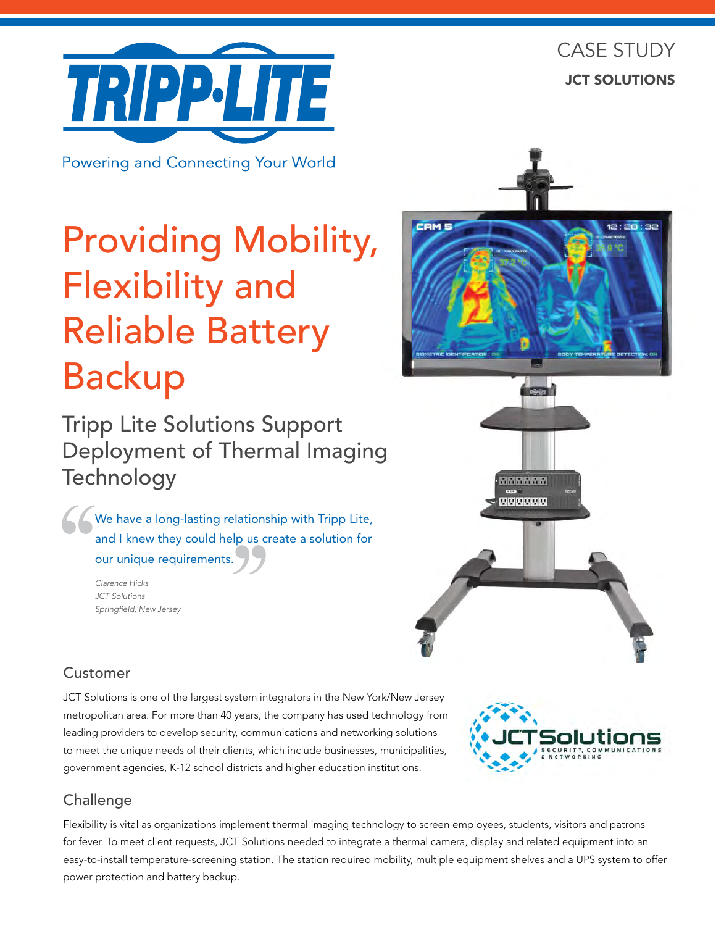

**Powering and Connecting Your World** 

# Providing Mobility, Flexibility and Reliable Battery Backup

Tripp Lite Solutions Support Deployment of Thermal Imaging **Technology** 

We have a long-lasting relationship with Tripp Lite, and I knew they could help us create a solution for our unique requirements.

> *Clarence Hicks JCT Solutions Springfield, New Jersey*



666666 **MARRANA** 

# Customer

JCT Solutions is one of the largest system integrators in the New York/New Jersey metropolitan area. For more than 40 years, the company has used technology from leading providers to develop security, communications and networking solutions to meet the unique needs of their clients, which include businesses, municipalities, government agencies, K-12 school districts and higher education institutions.



# **Challenge**

Flexibility is vital as organizations implement thermal imaging technology to screen employees, students, visitors and patrons for fever. To meet client requests, JCT Solutions needed to integrate a thermal camera, display and related equipment into an easy-to-install temperature-screening station. The station required mobility, multiple equipment shelves and a UPS system to offer power protection and battery backup.

# CASE STUDY JCT SOLUTIONS